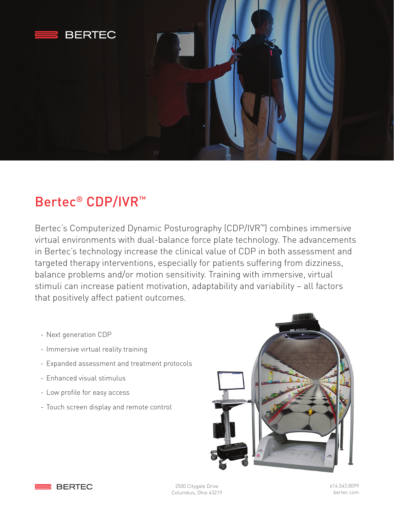

## Bertec® CDP/IVR™

Bertec's Computerized Dynamic Posturography (CDP/IVR™) combines immersive virtual environments with dual-balance force plate technology. The advancements in Bertec's technology increase the clinical value of CDP in both assessment and targeted therapy interventions, especially for patients suffering from dizziness, balance problems and/or motion sensitivity. Training with immersive, virtual stimuli can increase patient motivation, adaptability and variability – all factors that positively affect patient outcomes.

- Next generation CDP
- Immersive virtual reality training
- Expanded assessment and treatment protocols
- Enhanced visual stimulus
- Low profile for easy access
- Touch screen display and remote control





2500 Citygate Drive Columbus, Ohio 43219